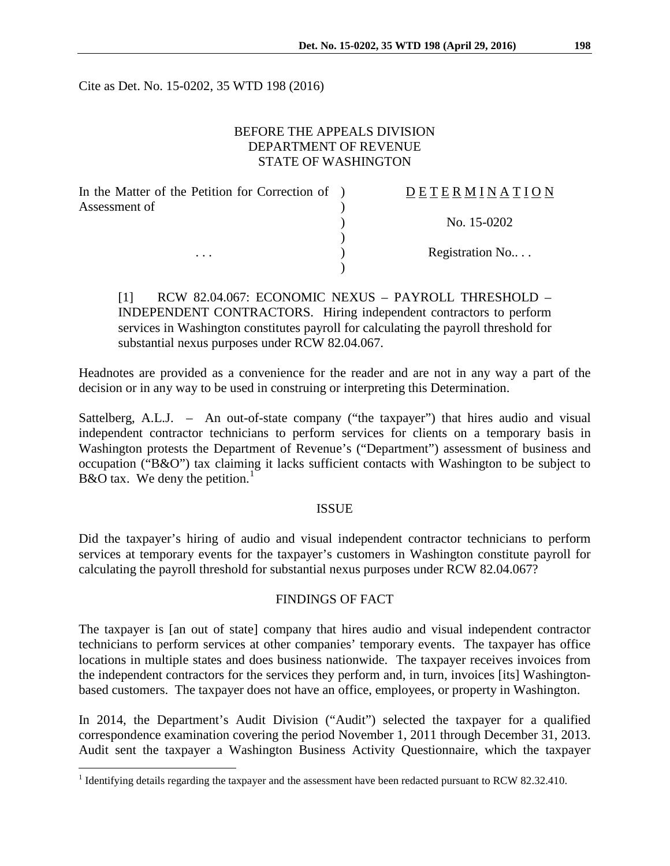Cite as Det. No. 15-0202, 35 WTD 198 (2016)

# BEFORE THE APPEALS DIVISION DEPARTMENT OF REVENUE STATE OF WASHINGTON

| In the Matter of the Petition for Correction of ) | DETERMINATION   |
|---------------------------------------------------|-----------------|
| Assessment of                                     |                 |
|                                                   | No. 15-0202     |
|                                                   |                 |
| $\cdots$                                          | Registration No |
|                                                   |                 |

[1] RCW 82.04.067: ECONOMIC NEXUS – PAYROLL THRESHOLD – INDEPENDENT CONTRACTORS. Hiring independent contractors to perform services in Washington constitutes payroll for calculating the payroll threshold for substantial nexus purposes under RCW 82.04.067.

Headnotes are provided as a convenience for the reader and are not in any way a part of the decision or in any way to be used in construing or interpreting this Determination.

Sattelberg, A.L.J. – An out-of-state company ("the taxpayer") that hires audio and visual independent contractor technicians to perform services for clients on a temporary basis in Washington protests the Department of Revenue's ("Department") assessment of business and occupation ("B&O") tax claiming it lacks sufficient contacts with Washington to be subject to B&O tax. We deny the petition.<sup>[1](#page-0-0)</sup>

# ISSUE

Did the taxpayer's hiring of audio and visual independent contractor technicians to perform services at temporary events for the taxpayer's customers in Washington constitute payroll for calculating the payroll threshold for substantial nexus purposes under RCW 82.04.067?

# FINDINGS OF FACT

The taxpayer is [an out of state] company that hires audio and visual independent contractor technicians to perform services at other companies' temporary events. The taxpayer has office locations in multiple states and does business nationwide. The taxpayer receives invoices from the independent contractors for the services they perform and, in turn, invoices [its] Washingtonbased customers. The taxpayer does not have an office, employees, or property in Washington.

In 2014, the Department's Audit Division ("Audit") selected the taxpayer for a qualified correspondence examination covering the period November 1, 2011 through December 31, 2013. Audit sent the taxpayer a Washington Business Activity Questionnaire, which the taxpayer

<span id="page-0-0"></span><sup>&</sup>lt;sup>1</sup> Identifying details regarding the taxpayer and the assessment have been redacted pursuant to RCW 82.32.410.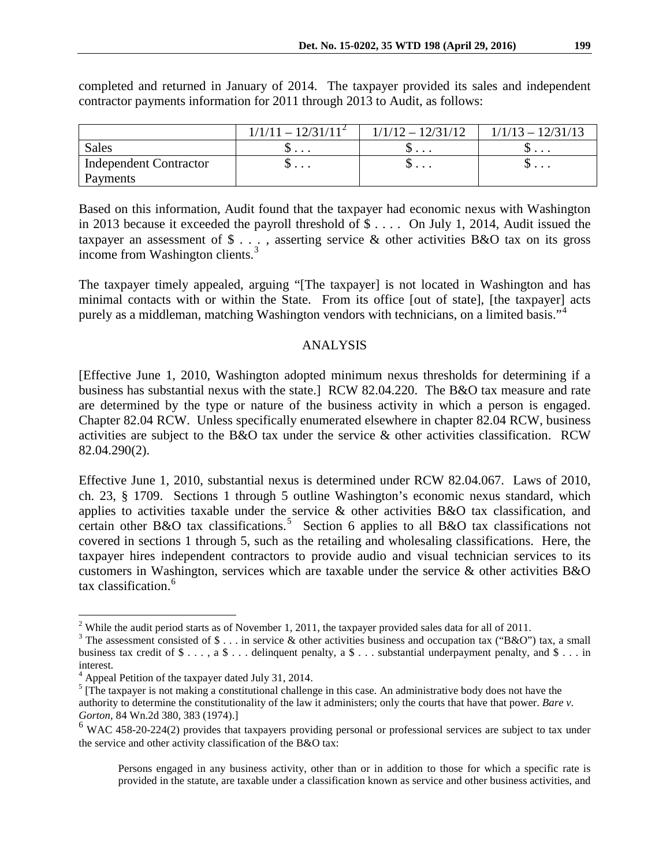|                               | $1/1/11 - 12/31/11^2$ | $1/1/12 - 12/31/12$ | $1/1/13 - 12/31/13$      |
|-------------------------------|-----------------------|---------------------|--------------------------|
| <b>Sales</b>                  | $\cup$                | ◡<br>$\cdots$       | ◡.                       |
| <b>Independent Contractor</b> | Ψ                     | φ                   | $\cup \cdot \cdot \cdot$ |
| Payments                      |                       |                     |                          |

completed and returned in January of 2014. The taxpayer provided its sales and independent contractor payments information for 2011 through 2013 to Audit, as follows:

Based on this information, Audit found that the taxpayer had economic nexus with Washington in 2013 because it exceeded the payroll threshold of \$ . . . . On July 1, 2014, Audit issued the taxpayer an assessment of \$ . . . , asserting service & other activities B&O tax on its gross income from Washington clients.<sup>[3](#page-1-1)</sup>

The taxpayer timely appealed, arguing "[The taxpayer] is not located in Washington and has minimal contacts with or within the State. From its office [out of state], [the taxpayer] acts purely as a middleman, matching Washington vendors with technicians, on a limited basis."[4](#page-1-2)

#### ANALYSIS

[Effective June 1, 2010, Washington adopted minimum nexus thresholds for determining if a business has substantial nexus with the state.] RCW 82.04.220. The B&O tax measure and rate are determined by the type or nature of the business activity in which a person is engaged. Chapter 82.04 RCW. Unless specifically enumerated elsewhere in chapter 82.04 RCW, business activities are subject to the B&O tax under the service & other activities classification. RCW 82.04.290(2).

Effective June 1, 2010, substantial nexus is determined under RCW 82.04.067. Laws of 2010, ch. 23, § 1709. Sections 1 through 5 outline Washington's economic nexus standard, which applies to activities taxable under the service & other activities B&O tax classification, and certain other B&O tax classifications.<sup>[5](#page-1-3)</sup> Section 6 applies to all B&O tax classifications not covered in sections 1 through 5, such as the retailing and wholesaling classifications. Here, the taxpayer hires independent contractors to provide audio and visual technician services to its customers in Washington, services which are taxable under the service & other activities B&O tax classification.<sup>[6](#page-1-4)</sup>

<span id="page-1-0"></span><sup>&</sup>lt;sup>2</sup> While the audit period starts as of November 1, 2011, the taxpayer provided sales data for all of 2011.

<span id="page-1-1"></span><sup>&</sup>lt;sup>3</sup> The assessment consisted of \$ . . . in service & other activities business and occupation tax ("B&O") tax, a small business tax credit of  $\$\ldots$ , a  $\$\ldots$  delinquent penalty, a  $\$\ldots$  substantial underpayment penalty, and  $\$\ldots$  in interest.

<span id="page-1-2"></span><sup>4</sup> Appeal Petition of the taxpayer dated July 31, 2014.

<span id="page-1-3"></span><sup>&</sup>lt;sup>5</sup> [The taxpayer is not making a constitutional challenge in this case. An administrative body does not have the authority to determine the constitutionality of the law it administers; only the courts that have that power. *Bare v. Gorton*, 84 Wn.2d 380, 383 (1974).]

<span id="page-1-4"></span><sup>&</sup>lt;sup>6</sup> WAC 458-20-224(2) provides that taxpayers providing personal or professional services are subject to tax under the service and other activity classification of the B&O tax:

Persons engaged in any business activity, other than or in addition to those for which a specific rate is provided in the statute, are taxable under a classification known as service and other business activities, and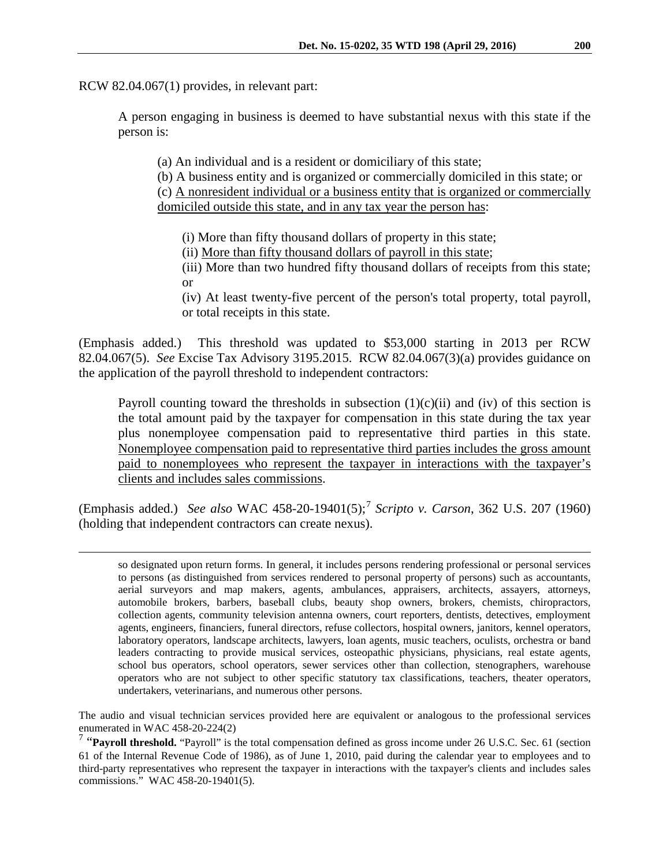RCW 82.04.067(1) provides, in relevant part:

A person engaging in business is deemed to have substantial nexus with this state if the person is:

(a) An individual and is a resident or domiciliary of this state;

(b) A business entity and is organized or commercially domiciled in this state; or (c) A nonresident individual or a business entity that is organized or commercially domiciled outside this state, and in any tax year the person has:

(i) More than fifty thousand dollars of property in this state;

(ii) More than fifty thousand dollars of payroll in this state;

(iii) More than two hundred fifty thousand dollars of receipts from this state; or

(iv) At least twenty-five percent of the person's total property, total payroll, or total receipts in this state.

(Emphasis added.) This threshold was updated to \$53,000 starting in 2013 per RCW 82.04.067(5). *See* Excise Tax Advisory 3195.2015. RCW 82.04.067(3)(a) provides guidance on the application of the payroll threshold to independent contractors:

Payroll counting toward the thresholds in subsection  $(1)(c)(ii)$  and  $(iv)$  of this section is the total amount paid by the taxpayer for compensation in this state during the tax year plus nonemployee compensation paid to representative third parties in this state. Nonemployee compensation paid to representative third parties includes the gross amount paid to nonemployees who represent the taxpayer in interactions with the taxpayer's clients and includes sales commissions.

(Emphasis added.) *See also* WAC 458-20-19401(5); [7](#page-2-0) *Scripto v. Carson*, 362 U.S. 207 (1960) (holding that independent contractors can create nexus).

The audio and visual technician services provided here are equivalent or analogous to the professional services enumerated in WAC 458-20-224(2)

<span id="page-2-0"></span><sup>7</sup> "Payroll threshold. "Payroll" is the total compensation defined as gross income under 26 U.S.C. Sec. 61 (section 61 of the Internal Revenue Code of 1986), as of June 1, 2010, paid during the calendar year to employees and to third-party representatives who represent the taxpayer in interactions with the taxpayer's clients and includes sales commissions." WAC 458-20-19401(5).

so designated upon return forms. In general, it includes persons rendering professional or personal services to persons (as distinguished from services rendered to personal property of persons) such as accountants, aerial surveyors and map makers, agents, ambulances, appraisers, architects, assayers, attorneys, automobile brokers, barbers, baseball clubs, beauty shop owners, brokers, chemists, chiropractors, collection agents, community television antenna owners, court reporters, dentists, detectives, employment agents, engineers, financiers, funeral directors, refuse collectors, hospital owners, janitors, kennel operators, laboratory operators, landscape architects, lawyers, loan agents, music teachers, oculists, orchestra or band leaders contracting to provide musical services, osteopathic physicians, physicians, real estate agents, school bus operators, school operators, sewer services other than collection, stenographers, warehouse operators who are not subject to other specific statutory tax classifications, teachers, theater operators, undertakers, veterinarians, and numerous other persons.